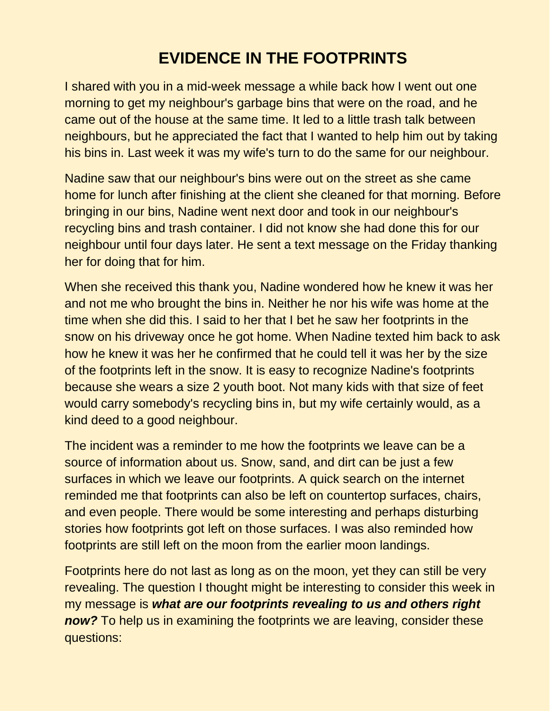## **EVIDENCE IN THE FOOTPRINTS**

I shared with you in a mid-week message a while back how I went out one morning to get my neighbour's garbage bins that were on the road, and he came out of the house at the same time. It led to a little trash talk between neighbours, but he appreciated the fact that I wanted to help him out by taking his bins in. Last week it was my wife's turn to do the same for our neighbour.

Nadine saw that our neighbour's bins were out on the street as she came home for lunch after finishing at the client she cleaned for that morning. Before bringing in our bins, Nadine went next door and took in our neighbour's recycling bins and trash container. I did not know she had done this for our neighbour until four days later. He sent a text message on the Friday thanking her for doing that for him.

When she received this thank you, Nadine wondered how he knew it was her and not me who brought the bins in. Neither he nor his wife was home at the time when she did this. I said to her that I bet he saw her footprints in the snow on his driveway once he got home. When Nadine texted him back to ask how he knew it was her he confirmed that he could tell it was her by the size of the footprints left in the snow. It is easy to recognize Nadine's footprints because she wears a size 2 youth boot. Not many kids with that size of feet would carry somebody's recycling bins in, but my wife certainly would, as a kind deed to a good neighbour.

The incident was a reminder to me how the footprints we leave can be a source of information about us. Snow, sand, and dirt can be just a few surfaces in which we leave our footprints. A quick search on the internet reminded me that footprints can also be left on countertop surfaces, chairs, and even people. There would be some interesting and perhaps disturbing stories how footprints got left on those surfaces. I was also reminded how footprints are still left on the moon from the earlier moon landings.

Footprints here do not last as long as on the moon, yet they can still be very revealing. The question I thought might be interesting to consider this week in my message is *what are our footprints revealing to us and others right now?* To help us in examining the footprints we are leaving, consider these questions: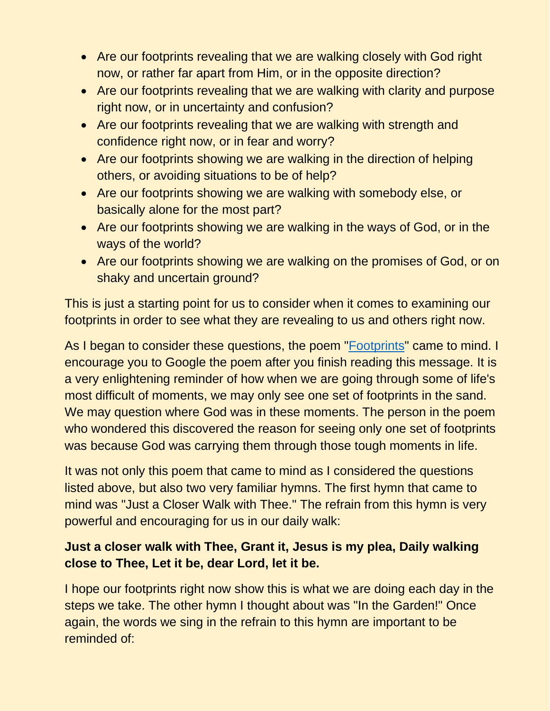- Are our footprints revealing that we are walking closely with God right now, or rather far apart from Him, or in the opposite direction?
- Are our footprints revealing that we are walking with clarity and purpose right now, or in uncertainty and confusion?
- Are our footprints revealing that we are walking with strength and confidence right now, or in fear and worry?
- Are our footprints showing we are walking in the direction of helping others, or avoiding situations to be of help?
- Are our footprints showing we are walking with somebody else, or basically alone for the most part?
- Are our footprints showing we are walking in the ways of God, or in the ways of the world?
- Are our footprints showing we are walking on the promises of God, or on shaky and uncertain ground?

This is just a starting point for us to consider when it comes to examining our footprints in order to see what they are revealing to us and others right now.

As I began to consider these questions, the poem ["Footprints"](https://condolencemessages.com/footprints-in-the-sand/) came to mind. I encourage you to Google the poem after you finish reading this message. It is a very enlightening reminder of how when we are going through some of life's most difficult of moments, we may only see one set of footprints in the sand. We may question where God was in these moments. The person in the poem who wondered this discovered the reason for seeing only one set of footprints was because God was carrying them through those tough moments in life.

It was not only this poem that came to mind as I considered the questions listed above, but also two very familiar hymns. The first hymn that came to mind was "Just a Closer Walk with Thee." The refrain from this hymn is very powerful and encouraging for us in our daily walk:

## **Just a closer walk with Thee, Grant it, Jesus is my plea, Daily walking close to Thee, Let it be, dear Lord, let it be.**

I hope our footprints right now show this is what we are doing each day in the steps we take. The other hymn I thought about was "In the Garden!" Once again, the words we sing in the refrain to this hymn are important to be reminded of: